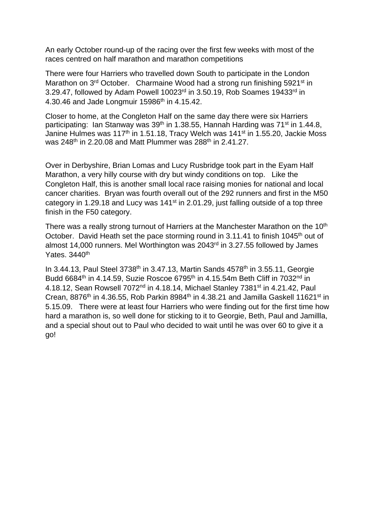An early October round-up of the racing over the first few weeks with most of the races centred on half marathon and marathon competitions

There were four Harriers who travelled down South to participate in the London Marathon on 3<sup>rd</sup> October. Charmaine Wood had a strong run finishing 5921<sup>st</sup> in 3.29.47, followed by Adam Powell 10023rd in 3.50.19, Rob Soames 19433rd in 4.30.46 and Jade Longmuir 15986<sup>th</sup> in 4.15.42.

Closer to home, at the Congleton Half on the same day there were six Harriers participating: Ian Stanway was  $39<sup>th</sup>$  in 1.38.55, Hannah Harding was  $71<sup>st</sup>$  in 1.44.8, Janine Hulmes was 117<sup>th</sup> in 1.51.18, Tracy Welch was 141<sup>st</sup> in 1.55.20, Jackie Moss was 248<sup>th</sup> in 2.20.08 and Matt Plummer was 288<sup>th</sup> in 2.41.27.

Over in Derbyshire, Brian Lomas and Lucy Rusbridge took part in the Eyam Half Marathon, a very hilly course with dry but windy conditions on top. Like the Congleton Half, this is another small local race raising monies for national and local cancer charities. Bryan was fourth overall out of the 292 runners and first in the M50 category in 1.29.18 and Lucy was 141<sup>st</sup> in 2.01.29, just falling outside of a top three finish in the F50 category.

There was a really strong turnout of Harriers at the Manchester Marathon on the 10<sup>th</sup> October. David Heath set the pace storming round in 3.11.41 to finish 1045<sup>th</sup> out of almost 14,000 runners. Mel Worthington was 2043rd in 3.27.55 followed by James Yates. 3440<sup>th</sup>

In 3.44.13, Paul Steel 3738<sup>th</sup> in 3.47.13, Martin Sands 4578<sup>th</sup> in 3.55.11, Georgie Budd 6684<sup>th</sup> in 4.14.59, Suzie Roscoe 6795<sup>th</sup> in 4.15.54m Beth Cliff in 7032<sup>nd</sup> in 4.18.12, Sean Rowsell 7072<sup>nd</sup> in 4.18.14, Michael Stanley 7381<sup>st</sup> in 4.21.42, Paul Crean, 8876<sup>th</sup> in 4.36.55, Rob Parkin 8984<sup>th</sup> in 4.38.21 and Jamilla Gaskell 11621<sup>st</sup> in 5.15.09. There were at least four Harriers who were finding out for the first time how hard a marathon is, so well done for sticking to it to Georgie, Beth, Paul and Jamillla, and a special shout out to Paul who decided to wait until he was over 60 to give it a go!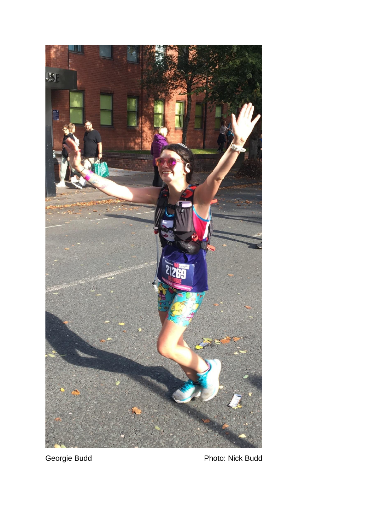

Georgie Budd **Photo: Nick Budd** Photo: Nick Budd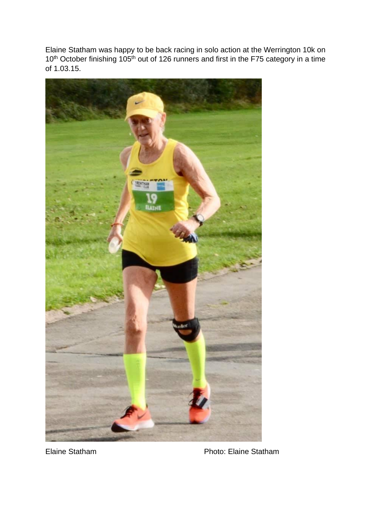Elaine Statham was happy to be back racing in solo action at the Werrington 10k on 10<sup>th</sup> October finishing 105<sup>th</sup> out of 126 runners and first in the F75 category in a time of 1.03.15.



Elaine Statham Photo: Elaine Statham